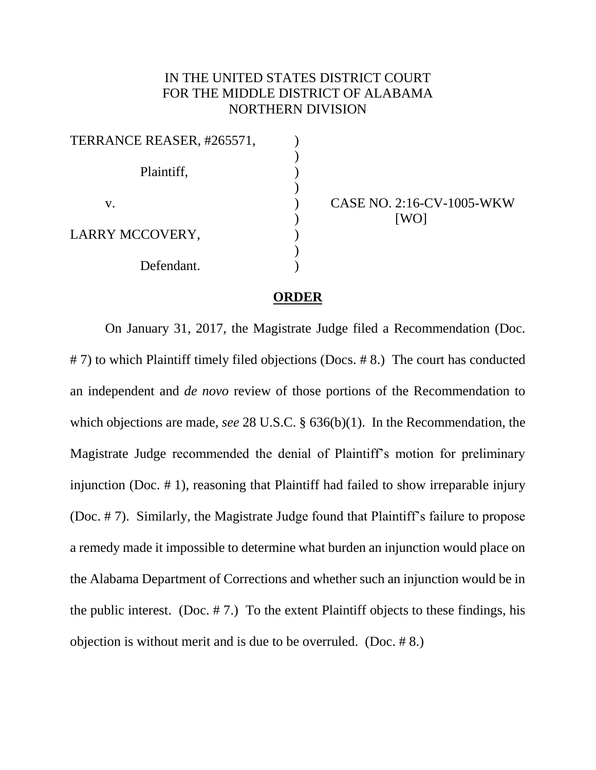## IN THE UNITED STATES DISTRICT COURT FOR THE MIDDLE DISTRICT OF ALABAMA NORTHERN DIVISION

| TERRANCE REASER, #265571, |  |
|---------------------------|--|
| Plaintiff,                |  |
| V.                        |  |
| LARRY MCCOVERY,           |  |
| Defendant.                |  |

CASE NO. 2:16-CV-1005-WKW [WO]

## **ORDER**

On January 31, 2017, the Magistrate Judge filed a Recommendation (Doc. # 7) to which Plaintiff timely filed objections (Docs. # 8.) The court has conducted an independent and *de novo* review of those portions of the Recommendation to which objections are made, *see* 28 U.S.C. § 636(b)(1). In the Recommendation, the Magistrate Judge recommended the denial of Plaintiff's motion for preliminary injunction (Doc. # 1), reasoning that Plaintiff had failed to show irreparable injury (Doc. # 7). Similarly, the Magistrate Judge found that Plaintiff's failure to propose a remedy made it impossible to determine what burden an injunction would place on the Alabama Department of Corrections and whether such an injunction would be in the public interest. (Doc. # 7.) To the extent Plaintiff objects to these findings, his objection is without merit and is due to be overruled. (Doc. # 8.)